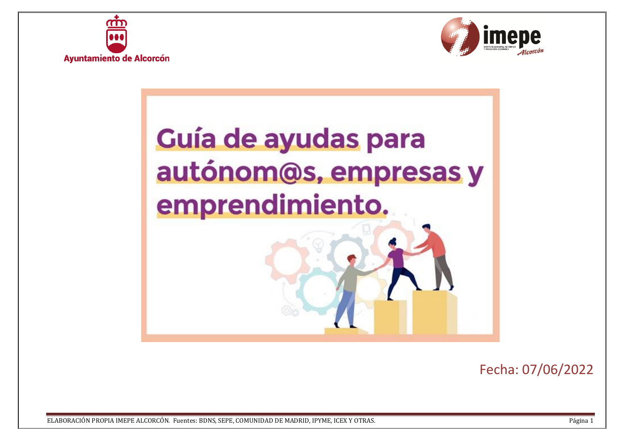





Fecha: 07/06/2022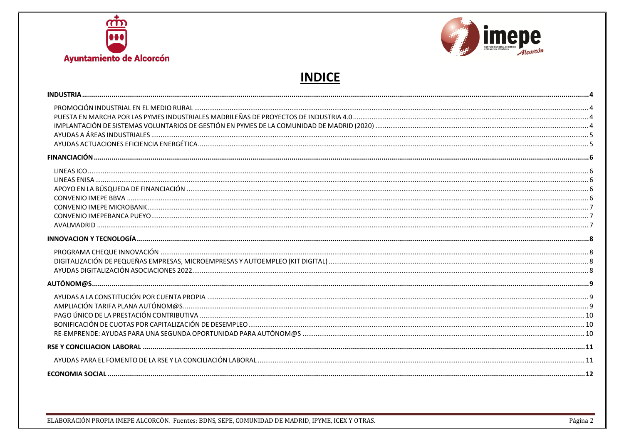



# **INDICE**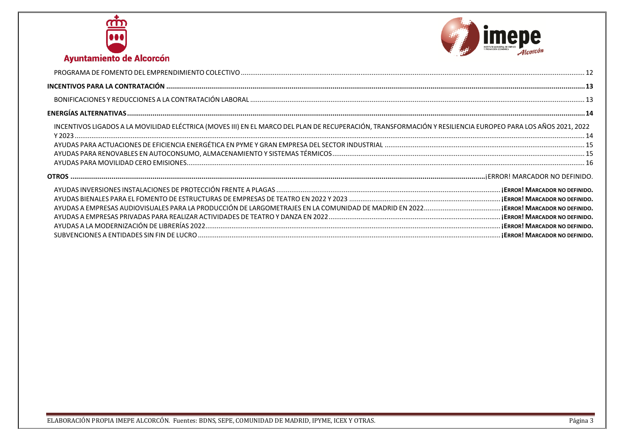



| INCENTIVOS LIGADOS A LA MOVILIDAD ELÉCTRICA (MOVES III) EN EL MARCO DEL PLAN DE RECUPERACIÓN, TRANSFORMACIÓN Y RESILIENCIA EUROPEO PARA LOS AÑOS 2021, 2022 |  |
|-------------------------------------------------------------------------------------------------------------------------------------------------------------|--|
|                                                                                                                                                             |  |
|                                                                                                                                                             |  |
|                                                                                                                                                             |  |
|                                                                                                                                                             |  |
|                                                                                                                                                             |  |
|                                                                                                                                                             |  |
|                                                                                                                                                             |  |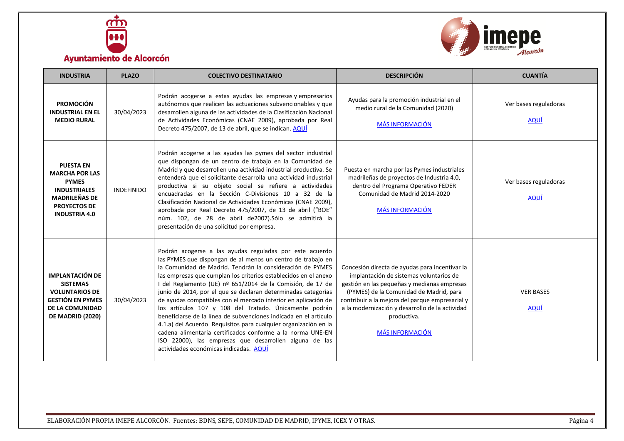



<span id="page-3-3"></span><span id="page-3-2"></span><span id="page-3-1"></span><span id="page-3-0"></span>

| <b>INDUSTRIA</b>                                                                                                                                        | <b>PLAZO</b>      | <b>COLECTIVO DESTINATARIO</b>                                                                                                                                                                                                                                                                                                                                                                                                                                                                                                                                                                                                                                                                                                                                                                                              | <b>DESCRIPCIÓN</b>                                                                                                                                                                                                                                                                                                                 | <b>CUANTÍA</b>                       |
|---------------------------------------------------------------------------------------------------------------------------------------------------------|-------------------|----------------------------------------------------------------------------------------------------------------------------------------------------------------------------------------------------------------------------------------------------------------------------------------------------------------------------------------------------------------------------------------------------------------------------------------------------------------------------------------------------------------------------------------------------------------------------------------------------------------------------------------------------------------------------------------------------------------------------------------------------------------------------------------------------------------------------|------------------------------------------------------------------------------------------------------------------------------------------------------------------------------------------------------------------------------------------------------------------------------------------------------------------------------------|--------------------------------------|
| <b>PROMOCIÓN</b><br><b>INDUSTRIAL EN EL</b><br><b>MEDIO RURAL</b>                                                                                       | 30/04/2023        | Podrán acogerse a estas ayudas las empresas y empresarios<br>autónomos que realicen las actuaciones subvencionables y que<br>desarrollen alguna de las actividades de la Clasificación Nacional<br>de Actividades Económicas (CNAE 2009), aprobada por Real<br>Decreto 475/2007, de 13 de abril, que se indican. AQUÍ                                                                                                                                                                                                                                                                                                                                                                                                                                                                                                      | Ayudas para la promoción industrial en el<br>medio rural de la Comunidad (2020)<br><b>MÁS INFORMACIÓN</b>                                                                                                                                                                                                                          | Ver bases reguladoras<br><b>AQUÍ</b> |
| <b>PUESTA EN</b><br><b>MARCHA POR LAS</b><br><b>PYMES</b><br><b>INDUSTRIALES</b><br><b>MADRILEÑAS DE</b><br><b>PROYECTOS DE</b><br><b>INDUSTRIA 4.0</b> | <b>INDEFINIDO</b> | Podrán acogerse a las ayudas las pymes del sector industrial<br>que dispongan de un centro de trabajo en la Comunidad de<br>Madrid y que desarrollen una actividad industrial productiva. Se<br>entenderá que el solicitante desarrolla una actividad industrial<br>productiva si su objeto social se refiere a actividades<br>encuadradas en la Sección C-Divisiones 10 a 32 de la<br>Clasificación Nacional de Actividades Económicas (CNAE 2009),<br>aprobada por Real Decreto 475/2007, de 13 de abril ("BOE"<br>núm. 102, de 28 de abril de2007). Sólo se admitirá la<br>presentación de una solicitud por empresa.                                                                                                                                                                                                   | Puesta en marcha por las Pymes industriales<br>madrileñas de proyectos de Industria 4.0,<br>dentro del Programa Operativo FEDER<br>Comunidad de Madrid 2014-2020<br><b>MÁS INFORMACIÓN</b>                                                                                                                                         | Ver bases reguladoras<br><b>AQUÍ</b> |
| <b>IMPLANTACIÓN DE</b><br><b>SISTEMAS</b><br><b>VOLUNTARIOS DE</b><br><b>GESTIÓN EN PYMES</b><br><b>DE LA COMUNIDAD</b><br>DE MADRID (2020)             | 30/04/2023        | Podrán acogerse a las ayudas reguladas por este acuerdo<br>las PYMES que dispongan de al menos un centro de trabajo en<br>la Comunidad de Madrid. Tendrán la consideración de PYMES<br>las empresas que cumplan los criterios establecidos en el anexo<br>I del Reglamento (UE) nº 651/2014 de la Comisión, de 17 de<br>junio de 2014, por el que se declaran determinadas categorías<br>de ayudas compatibles con el mercado interior en aplicación de<br>los artículos 107 y 108 del Tratado. Únicamente podrán<br>beneficiarse de la línea de subvenciones indicada en el artículo<br>4.1.a) del Acuerdo Requisitos para cualquier organización en la<br>cadena alimentaria certificados conforme a la norma UNE-EN<br>ISO 22000), las empresas que desarrollen alguna de las<br>actividades económicas indicadas. AQUÍ | Concesión directa de ayudas para incentivar la<br>implantación de sistemas voluntarios de<br>gestión en las pequeñas y medianas empresas<br>(PYMES) de la Comunidad de Madrid, para<br>contribuir a la mejora del parque empresarial y<br>a la modernización y desarrollo de la actividad<br>productiva.<br><b>MÁS INFORMACIÓN</b> | <b>VER BASES</b><br><b>AQUÍ</b>      |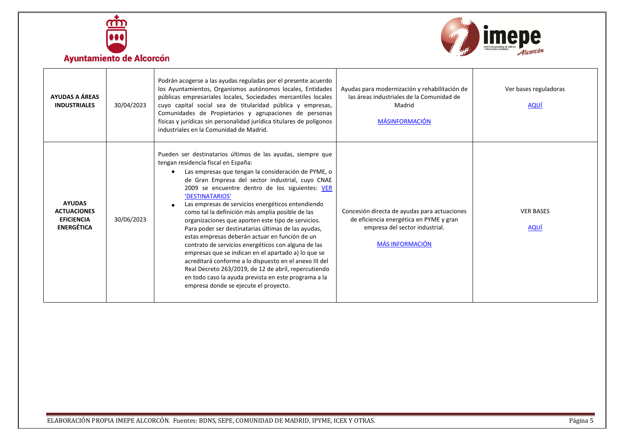



| <b>Ayuntamiento de Alcorcón</b> |  |
|---------------------------------|--|
|                                 |  |

<span id="page-4-1"></span><span id="page-4-0"></span>

| AYUDAS A ÁREAS<br><b>INDUSTRIALES</b>                                         | 30/04/2023 | Podrán acogerse a las ayudas reguladas por el presente acuerdo<br>los Ayuntamientos, Organismos autónomos locales, Entidades<br>públicas empresariales locales, Sociedades mercantiles locales<br>cuyo capital social sea de titularidad pública y empresas,<br>Comunidades de Propietarios y agrupaciones de personas<br>físicas y jurídicas sin personalidad jurídica titulares de polígonos<br>industriales en la Comunidad de Madrid.                                                                                                                                                                                                                                                                                                                                                                                                                                                    | Ayudas para modernización y rehabilitación de<br>las áreas industriales de la Comunidad de<br>Madrid<br><b>MÁSINFORMACIÓN</b>                       | Ver bases reguladoras<br><b>AQUÍ</b> |
|-------------------------------------------------------------------------------|------------|----------------------------------------------------------------------------------------------------------------------------------------------------------------------------------------------------------------------------------------------------------------------------------------------------------------------------------------------------------------------------------------------------------------------------------------------------------------------------------------------------------------------------------------------------------------------------------------------------------------------------------------------------------------------------------------------------------------------------------------------------------------------------------------------------------------------------------------------------------------------------------------------|-----------------------------------------------------------------------------------------------------------------------------------------------------|--------------------------------------|
| <b>AYUDAS</b><br><b>ACTUACIONES</b><br><b>EFICIENCIA</b><br><b>ENERGÉTICA</b> | 30/06/2023 | Pueden ser destinatarios últimos de las ayudas, siempre que<br>tengan residencia fiscal en España:<br>Las empresas que tengan la consideración de PYME, o<br>de Gran Empresa del sector industrial, cuyo CNAE<br>2009 se encuentre dentro de los siguientes: VER<br>'DESTINATARIOS'<br>Las empresas de servicios energéticos entendiendo<br>como tal la definición más amplia posible de las<br>organizaciones que aporten este tipo de servicios.<br>Para poder ser destinatarias últimas de las ayudas,<br>estas empresas deberán actuar en función de un<br>contrato de servicios energéticos con alguna de las<br>empresas que se indican en el apartado a) lo que se<br>acreditará conforme a lo dispuesto en el anexo III del<br>Real Decreto 263/2019, de 12 de abril, repercutiendo<br>en todo caso la ayuda prevista en este programa a la<br>empresa donde se ejecute el proyecto. | Concesión directa de ayudas para actuaciones<br>de eficiencia energética en PYME y gran<br>empresa del sector industrial.<br><b>MÁS INFORMACIÓN</b> | <b>VER BASES</b><br><b>AQUÍ</b>      |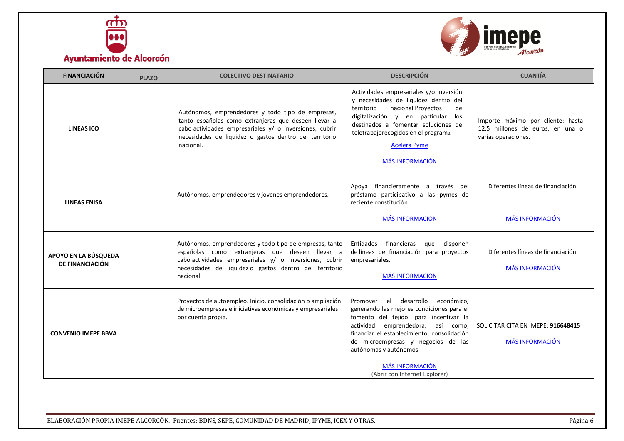



<span id="page-5-4"></span><span id="page-5-3"></span><span id="page-5-2"></span><span id="page-5-1"></span><span id="page-5-0"></span>

| <b>FINANCIACIÓN</b>                     | <b>PLAZO</b> | <b>COLECTIVO DESTINATARIO</b>                                                                                                                                                                                                               | <b>DESCRIPCIÓN</b>                                                                                                                                                                                                                                                                                                                        | <b>CUANTÍA</b>                                                                               |
|-----------------------------------------|--------------|---------------------------------------------------------------------------------------------------------------------------------------------------------------------------------------------------------------------------------------------|-------------------------------------------------------------------------------------------------------------------------------------------------------------------------------------------------------------------------------------------------------------------------------------------------------------------------------------------|----------------------------------------------------------------------------------------------|
| <b>LINEAS ICO</b>                       |              | Autónomos, emprendedores y todo tipo de empresas,<br>tanto españolas como extranjeras que deseen llevar a<br>cabo actividades empresariales y/ o inversiones, cubrir<br>necesidades de liquidez o gastos dentro del territorio<br>nacional. | Actividades empresariales y/o inversión<br>y necesidades de liquidez dentro del<br>territorio<br>nacional.Proyectos<br>de<br>digitalización y en particular los<br>destinados a fomentar soluciones de<br>teletrabajorecogidos en el programa<br><b>Acelera Pyme</b><br><b>MÁS INFORMACIÓN</b>                                            | Importe máximo por cliente: hasta<br>12,5 millones de euros, en una o<br>varias operaciones. |
| <b>LINEAS ENISA</b>                     |              | Autónomos, emprendedores y jóvenes emprendedores.                                                                                                                                                                                           | Apoya financieramente a través del<br>préstamo participativo a las pymes de<br>reciente constitución.<br><b>MÁS INFORMACIÓN</b>                                                                                                                                                                                                           | Diferentes líneas de financiación.<br><b>MÁS INFORMACIÓN</b>                                 |
| APOYO EN LA BÚSQUEDA<br>DE FINANCIACIÓN |              | Autónomos, emprendedores y todo tipo de empresas, tanto<br>españolas como extranjeras que deseen llevar a<br>cabo actividades empresariales y/ o inversiones, cubrir<br>necesidades de liquidez o gastos dentro del territorio<br>nacional. | Entidades financieras que<br>disponen<br>de líneas de financiación para proyectos<br>empresariales.<br><b>MÁS INFORMACIÓN</b>                                                                                                                                                                                                             | Diferentes líneas de financiación.<br><b>MÁS INFORMACIÓN</b>                                 |
| <b>CONVENIO IMEPE BBVA</b>              |              | Proyectos de autoempleo. Inicio, consolidación o ampliación<br>de microempresas e iniciativas económicas y empresariales<br>por cuenta propia.                                                                                              | desarrollo económico.<br>Promover el<br>generando las mejores condiciones para el<br>fomento del tejido, para incentivar la<br>actividad emprendedora, así como,<br>financiar el establecimiento, consolidación<br>de microempresas y negocios de las<br>autónomas y autónomos<br><b>MÁS INFORMACIÓN</b><br>(Abrir con Internet Explorer) | SOLICITAR CITA EN IMEPE: 916648415<br><b>MÁS INFORMACIÓN</b>                                 |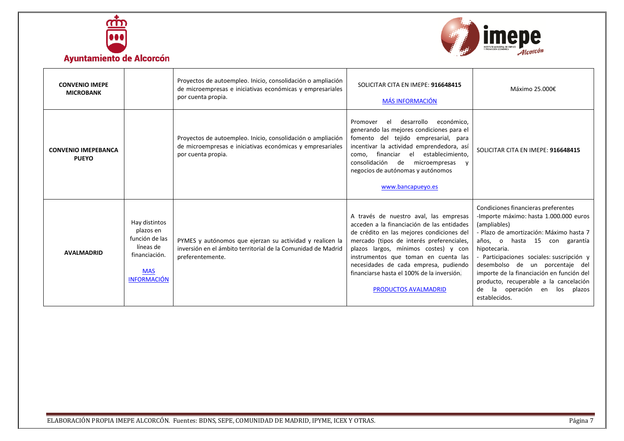



<span id="page-6-2"></span><span id="page-6-1"></span><span id="page-6-0"></span>

| <b>CONVENIO IMEPE</b><br><b>MICROBANK</b>  |                                                                                                                | Proyectos de autoempleo. Inicio, consolidación o ampliación<br>de microempresas e iniciativas económicas y empresariales<br>por cuenta propia. | SOLICITAR CITA EN IMEPE: 916648415<br><b>MÁS INFORMACIÓN</b>                                                                                                                                                                                                                                                                                                                         | Máximo 25.000€                                                                                                                                                                                                                                                                                                                                                                                                                 |
|--------------------------------------------|----------------------------------------------------------------------------------------------------------------|------------------------------------------------------------------------------------------------------------------------------------------------|--------------------------------------------------------------------------------------------------------------------------------------------------------------------------------------------------------------------------------------------------------------------------------------------------------------------------------------------------------------------------------------|--------------------------------------------------------------------------------------------------------------------------------------------------------------------------------------------------------------------------------------------------------------------------------------------------------------------------------------------------------------------------------------------------------------------------------|
| <b>CONVENIO IMEPEBANCA</b><br><b>PUEYO</b> |                                                                                                                | Proyectos de autoempleo. Inicio, consolidación o ampliación<br>de microempresas e iniciativas económicas y empresariales<br>por cuenta propia. | desarrollo<br>económico,<br>el<br>Promover<br>generando las mejores condiciones para el<br>fomento del tejido empresarial, para<br>incentivar la actividad emprendedora, así<br>financiar<br>el<br>establecimiento.<br>como.<br>consolidación<br>de<br>microempresas<br>v<br>negocios de autónomas y autónomos<br>www.bancapueyo.es                                                  | SOLICITAR CITA EN IMEPE: 916648415                                                                                                                                                                                                                                                                                                                                                                                             |
| <b>AVALMADRID</b>                          | Hay distintos<br>plazos en<br>función de las<br>líneas de<br>financiación.<br><b>MAS</b><br><b>INFORMACIÓN</b> | PYMES y autónomos que ejerzan su actividad y realicen la<br>inversión en el ámbito territorial de la Comunidad de Madrid<br>preferentemente.   | A través de nuestro aval, las empresas<br>acceden a la financiación de las entidades<br>de crédito en las mejores condiciones del<br>mercado (tipos de interés preferenciales,<br>plazos largos, mínimos costes) y con<br>instrumentos que toman en cuenta las<br>necesidades de cada empresa, pudiendo<br>financiarse hasta el 100% de la inversión.<br><b>PRODUCTOS AVALMADRID</b> | Condiciones financieras preferentes<br>-Importe máximo: hasta 1.000.000 euros<br>(ampliables)<br>- Plazo de amortización: Máximo hasta 7<br>años, o hasta 15 con garantía<br>hipotecaria.<br>- Participaciones sociales: suscripción y<br>desembolso de un porcentaje del<br>importe de la financiación en función del<br>producto, recuperable a la cancelación<br>de<br>la operación<br>los<br>plazos<br>en<br>establecidos. |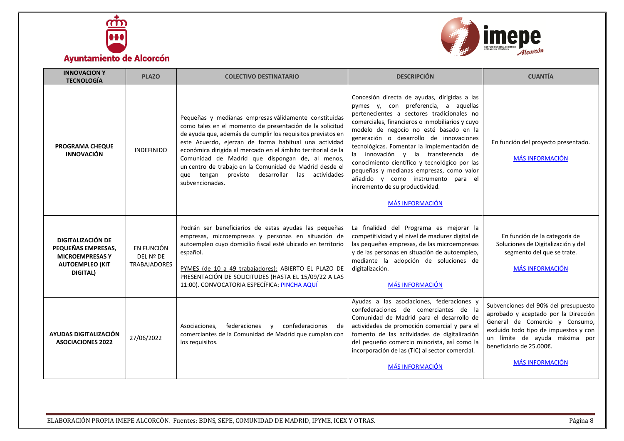



<span id="page-7-3"></span><span id="page-7-2"></span><span id="page-7-1"></span><span id="page-7-0"></span>

| <b>INNOVACION Y</b><br><b>TECNOLOGÍA</b>                                                                | <b>PLAZO</b>                                   | <b>COLECTIVO DESTINATARIO</b>                                                                                                                                                                                                                                                                                                                                                                                                                                                                 | <b>DESCRIPCIÓN</b>                                                                                                                                                                                                                                                                                                                                                                                                                                                                                                                                               | <b>CUANTÍA</b>                                                                                                                                                                                                                                 |
|---------------------------------------------------------------------------------------------------------|------------------------------------------------|-----------------------------------------------------------------------------------------------------------------------------------------------------------------------------------------------------------------------------------------------------------------------------------------------------------------------------------------------------------------------------------------------------------------------------------------------------------------------------------------------|------------------------------------------------------------------------------------------------------------------------------------------------------------------------------------------------------------------------------------------------------------------------------------------------------------------------------------------------------------------------------------------------------------------------------------------------------------------------------------------------------------------------------------------------------------------|------------------------------------------------------------------------------------------------------------------------------------------------------------------------------------------------------------------------------------------------|
| <b>PROGRAMA CHEQUE</b><br><b>INNOVACIÓN</b>                                                             | <b>INDEFINIDO</b>                              | Pequeñas y medianas empresas válidamente constituidas<br>como tales en el momento de presentación de la solicitud<br>de ayuda que, además de cumplir los requisitos previstos en<br>este Acuerdo, ejerzan de forma habitual una actividad<br>económica dirigida al mercado en el ámbito territorial de la<br>Comunidad de Madrid que dispongan de, al menos,<br>un centro de trabajo en la Comunidad de Madrid desde el<br>que tengan previsto desarrollar las actividades<br>subvencionadas. | Concesión directa de ayudas, dirigidas a las<br>pymes y, con preferencia, a aquellas<br>pertenecientes a sectores tradicionales no<br>comerciales, financieros o inmobiliarios y cuyo<br>modelo de negocio no esté basado en la<br>generación o desarrollo de innovaciones<br>tecnológicas. Fomentar la implementación de<br>la innovación y la transferencia de<br>conocimiento científico y tecnológico por las<br>pequeñas y medianas empresas, como valor<br>añadido y como instrumento para el<br>incremento de su productividad.<br><b>MÁS INFORMACIÓN</b> | En función del proyecto presentado.<br><b>MÁS INFORMACIÓN</b>                                                                                                                                                                                  |
| DIGITALIZACIÓN DE<br>PEQUEÑAS EMPRESAS,<br><b>MICROEMPRESAS Y</b><br><b>AUTOEMPLEO (KIT</b><br>DIGITAL) | EN FUNCIÓN<br>DEL Nº DE<br><b>TRABAJADORES</b> | Podrán ser beneficiarios de estas ayudas las pequeñas<br>empresas, microempresas y personas en situación de<br>autoempleo cuyo domicilio fiscal esté ubicado en territorio<br>español.<br>PYMES (de 10 a 49 trabajadores): ABIERTO EL PLAZO DE<br>PRESENTACIÓN DE SOLICITUDES (HASTA EL 15/09/22 A LAS<br>11:00). CONVOCATORIA ESPECÍFICA: PINCHA AQUÍ                                                                                                                                        | La finalidad del Programa es mejorar la<br>competitividad y el nivel de madurez digital de<br>las pequeñas empresas, de las microempresas<br>y de las personas en situación de autoempleo,<br>mediante la adopción de soluciones de<br>digitalización.<br><b>MÁS INFORMACIÓN</b>                                                                                                                                                                                                                                                                                 | En función de la categoría de<br>Soluciones de Digitalización y del<br>segmento del que se trate.<br><b>MÁS INFORMACIÓN</b>                                                                                                                    |
| AYUDAS DIGITALIZACIÓN<br><b>ASOCIACIONES 2022</b>                                                       | 27/06/2022                                     | federaciones<br>confederaciones<br>Asociaciones,<br>de<br>$\mathbf{V}$<br>comerciantes de la Comunidad de Madrid que cumplan con<br>los requisitos.                                                                                                                                                                                                                                                                                                                                           | Ayudas a las asociaciones, federaciones y<br>confederaciones de comerciantes de la<br>Comunidad de Madrid para el desarrollo de<br>actividades de promoción comercial y para el<br>fomento de las actividades de digitalización<br>del pequeño comercio minorista, así como la<br>incorporación de las (TIC) al sector comercial.<br><b>MÁS INFORMACIÓN</b>                                                                                                                                                                                                      | Subvenciones del 90% del presupuesto<br>aprobado y aceptado por la Dirección<br>General de Comercio y Consumo,<br>excluido todo tipo de impuestos y con<br>un límite de ayuda máxima por<br>beneficiario de 25.000€.<br><b>MÁS INFORMACIÓN</b> |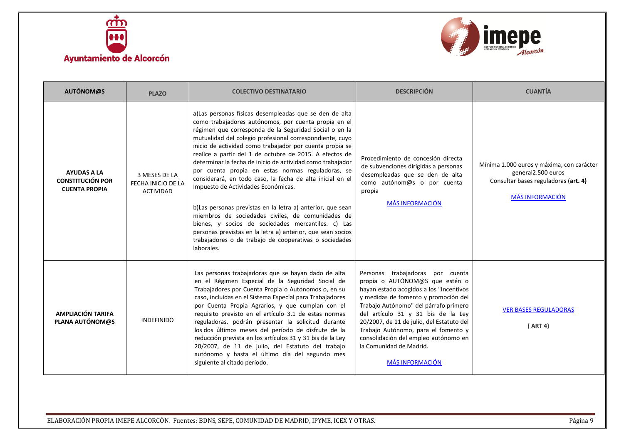



<span id="page-8-2"></span><span id="page-8-1"></span><span id="page-8-0"></span>

| <b>AUTÓNOM@S</b>                                                      | <b>PLAZO</b>                                            | <b>COLECTIVO DESTINATARIO</b>                                                                                                                                                                                                                                                                                                                                                                                                                                                                                                                                                                                                                                                                                                                                                                                                                                                                        | <b>DESCRIPCIÓN</b>                                                                                                                                                                                                                                                                                                                                                                                                    | <b>CUANTÍA</b>                                                                                                                    |
|-----------------------------------------------------------------------|---------------------------------------------------------|------------------------------------------------------------------------------------------------------------------------------------------------------------------------------------------------------------------------------------------------------------------------------------------------------------------------------------------------------------------------------------------------------------------------------------------------------------------------------------------------------------------------------------------------------------------------------------------------------------------------------------------------------------------------------------------------------------------------------------------------------------------------------------------------------------------------------------------------------------------------------------------------------|-----------------------------------------------------------------------------------------------------------------------------------------------------------------------------------------------------------------------------------------------------------------------------------------------------------------------------------------------------------------------------------------------------------------------|-----------------------------------------------------------------------------------------------------------------------------------|
| <b>AYUDAS A LA</b><br><b>CONSTITUCIÓN POR</b><br><b>CUENTA PROPIA</b> | 3 MESES DE LA<br>FECHA INICIO DE LA<br><b>ACTIVIDAD</b> | a) Las personas físicas desempleadas que se den de alta<br>como trabajadores autónomos, por cuenta propia en el<br>régimen que corresponda de la Seguridad Social o en la<br>mutualidad del colegio profesional correspondiente, cuyo<br>inicio de actividad como trabajador por cuenta propia se<br>realice a partir del 1 de octubre de 2015. A efectos de<br>determinar la fecha de inicio de actividad como trabajador<br>por cuenta propia en estas normas reguladoras, se<br>considerará, en todo caso, la fecha de alta inicial en el<br>Impuesto de Actividades Económicas.<br>b) Las personas previstas en la letra a) anterior, que sean<br>miembros de sociedades civiles, de comunidades de<br>bienes, y socios de sociedades mercantiles. c) Las<br>personas previstas en la letra a) anterior, que sean socios<br>trabajadores o de trabajo de cooperativas o sociedades<br>laborales. | Procedimiento de concesión directa<br>de subvenciones dirigidas a personas<br>desempleadas que se den de alta<br>como autónom@s o por cuenta<br>propia<br><b>MÁS INFORMACIÓN</b>                                                                                                                                                                                                                                      | Mínima 1.000 euros y máxima, con carácter<br>general2.500 euros<br>Consultar bases reguladoras (art. 4)<br><b>MÁS INFORMACIÓN</b> |
| <b>AMPLIACIÓN TARIFA</b><br><b>PLANA AUTÓNOM@S</b>                    | <b>INDEFINIDO</b>                                       | Las personas trabajadoras que se hayan dado de alta<br>en el Régimen Especial de la Seguridad Social de<br>Trabajadores por Cuenta Propia o Autónomos o, en su<br>caso, incluidas en el Sistema Especial para Trabajadores<br>por Cuenta Propia Agrarios, y que cumplan con el<br>requisito previsto en el artículo 3.1 de estas normas<br>reguladoras, podrán presentar la solicitud durante<br>los dos últimos meses del período de disfrute de la<br>reducción prevista en los artículos 31 y 31 bis de la Ley<br>20/2007, de 11 de julio, del Estatuto del trabajo<br>autónomo y hasta el último día del segundo mes<br>siguiente al citado período.                                                                                                                                                                                                                                             | Personas trabajadoras por cuenta<br>propia o AUTÓNOM@S que estén o<br>hayan estado acogidos a los "Incentivos<br>y medidas de fomento y promoción del<br>Trabajo Autónomo" del párrafo primero<br>del artículo 31 y 31 bis de la Ley<br>20/2007, de 11 de julio, del Estatuto del<br>Trabajo Autónomo, para el fomento y<br>consolidación del empleo autónomo en<br>la Comunidad de Madrid.<br><b>MÁS INFORMACIÓN</b> | <b>VER BASES REGULADORAS</b><br>(ART 4)                                                                                           |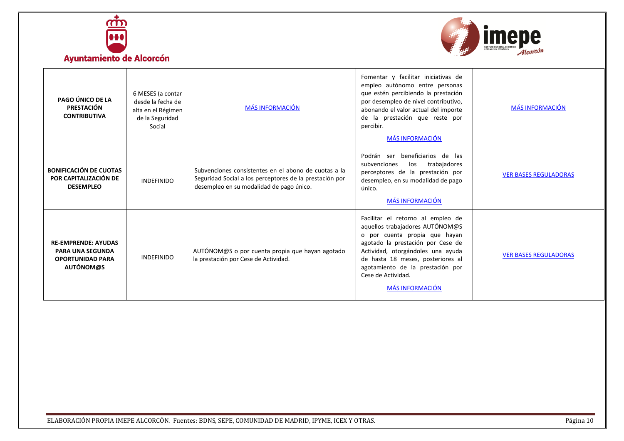



<span id="page-9-2"></span><span id="page-9-1"></span><span id="page-9-0"></span>

| PAGO ÚNICO DE LA<br>PRESTACIÓN<br><b>CONTRIBUTIVA</b>                                                | 6 MESES (a contar<br>desde la fecha de<br>alta en el Régimen<br>de la Seguridad<br>Social | <b>MÁS INFORMACIÓN</b>                                                                                                                                      | Fomentar y facilitar iniciativas de<br>empleo autónomo entre personas<br>que estén percibiendo la prestación<br>por desempleo de nivel contributivo,<br>abonando el valor actual del importe<br>de la prestación que reste por<br>percibir.<br><b>MÁS INFORMACIÓN</b>                                    | <b>MÁS INFORMACIÓN</b>       |
|------------------------------------------------------------------------------------------------------|-------------------------------------------------------------------------------------------|-------------------------------------------------------------------------------------------------------------------------------------------------------------|----------------------------------------------------------------------------------------------------------------------------------------------------------------------------------------------------------------------------------------------------------------------------------------------------------|------------------------------|
| <b>BONIFICACIÓN DE CUOTAS</b><br>POR CAPITALIZACIÓN DE<br><b>DESEMPLEO</b>                           | <b>INDEFINIDO</b>                                                                         | Subvenciones consistentes en el abono de cuotas a la<br>Seguridad Social a los perceptores de la prestación por<br>desempleo en su modalidad de pago único. | Podrán ser beneficiarios de las<br>trabajadores<br>subvenciones<br>los<br>perceptores de la prestación por<br>desempleo, en su modalidad de pago<br>único.<br><b>MÁS INFORMACIÓN</b>                                                                                                                     | <b>VER BASES REGULADORAS</b> |
| <b>RE-EMPRENDE: AYUDAS</b><br><b>PARA UNA SEGUNDA</b><br><b>OPORTUNIDAD PARA</b><br><b>AUTÓNOM@S</b> | <b>INDEFINIDO</b>                                                                         | AUTÓNOM@S o por cuenta propia que hayan agotado<br>la prestación por Cese de Actividad.                                                                     | Facilitar el retorno al empleo de<br>aquellos trabajadores AUTÓNOM@S<br>o por cuenta propia que hayan<br>agotado la prestación por Cese de<br>Actividad, otorgándoles una ayuda<br>de hasta 18 meses, posteriores al<br>agotamiento de la prestación por<br>Cese de Actividad.<br><b>MÁS INFORMACIÓN</b> | <b>VER BASES REGULADORAS</b> |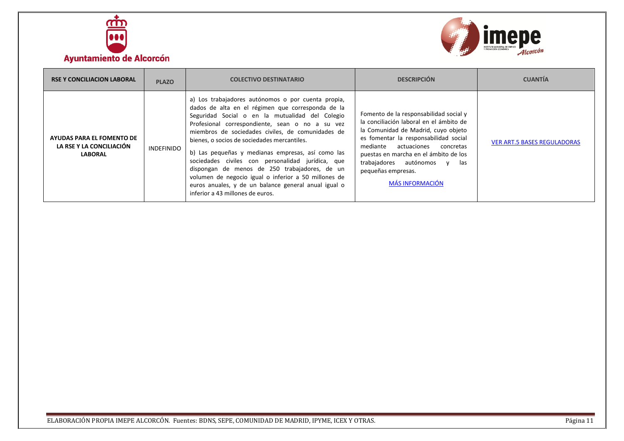



<span id="page-10-1"></span><span id="page-10-0"></span>

| <b>RSE Y CONCILIACION LABORAL</b>                                       | <b>PLAZO</b> | <b>COLECTIVO DESTINATARIO</b>                                                                                                                                                                                                                                                                                                                                                                                                                                                                                                                                                                                                    | <b>DESCRIPCIÓN</b>                                                                                                                                                                                                                                                                                                                 | <b>CUANTÍA</b>                     |
|-------------------------------------------------------------------------|--------------|----------------------------------------------------------------------------------------------------------------------------------------------------------------------------------------------------------------------------------------------------------------------------------------------------------------------------------------------------------------------------------------------------------------------------------------------------------------------------------------------------------------------------------------------------------------------------------------------------------------------------------|------------------------------------------------------------------------------------------------------------------------------------------------------------------------------------------------------------------------------------------------------------------------------------------------------------------------------------|------------------------------------|
| AYUDAS PARA EL FOMENTO DE<br>LA RSE Y LA CONCILIACIÓN<br><b>LABORAL</b> | INDEFINIDO   | a) Los trabajadores autónomos o por cuenta propia,<br>dados de alta en el régimen que corresponda de la<br>Seguridad Social o en la mutualidad del Colegio<br>Profesional correspondiente, sean o no a su vez<br>miembros de sociedades civiles, de comunidades de<br>bienes, o socios de sociedades mercantiles.<br>b) Las pequeñas y medianas empresas, así como las<br>sociedades civiles con personalidad jurídica, que<br>dispongan de menos de 250 trabajadores, de un<br>volumen de negocio igual o inferior a 50 millones de<br>euros anuales, y de un balance general anual igual o<br>inferior a 43 millones de euros. | Fomento de la responsabilidad social y<br>la conciliación laboral en el ámbito de<br>la Comunidad de Madrid, cuyo objeto<br>es fomentar la responsabilidad social<br>actuaciones<br>mediante<br>concretas<br>puestas en marcha en el ámbito de los<br>trabajadores autónomos y las<br>pequeñas empresas.<br><b>MÁS INFORMACIÓN</b> | <b>VER ART.5 BASES REGULADORAS</b> |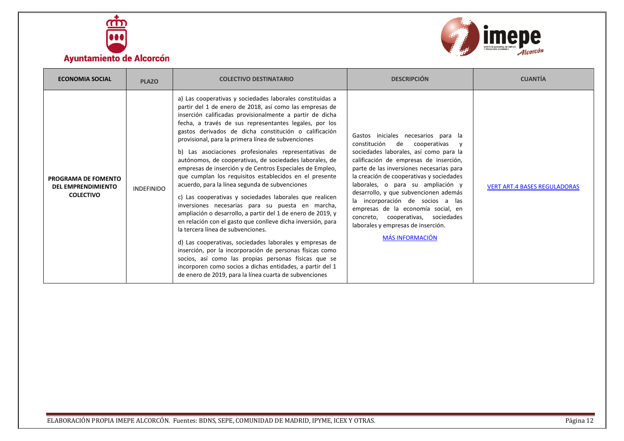



<span id="page-11-1"></span><span id="page-11-0"></span>

| <b>ECONOMIA SOCIAL</b>                                               | <b>PLAZO</b>      | <b>COLECTIVO DESTINATARIO</b>                                                                                                                                                                                                                                                                                                                                                                                                                                                                                                                                                                                                                                                                                                                                                                                                                                                                                                                                                                                                                                                                                                                                                                                                                | <b>DESCRIPCIÓN</b>                                                                                                                                                                                                                                                                                                                                                                                                                                                                                                  | <b>CUANTÍA</b>                      |
|----------------------------------------------------------------------|-------------------|----------------------------------------------------------------------------------------------------------------------------------------------------------------------------------------------------------------------------------------------------------------------------------------------------------------------------------------------------------------------------------------------------------------------------------------------------------------------------------------------------------------------------------------------------------------------------------------------------------------------------------------------------------------------------------------------------------------------------------------------------------------------------------------------------------------------------------------------------------------------------------------------------------------------------------------------------------------------------------------------------------------------------------------------------------------------------------------------------------------------------------------------------------------------------------------------------------------------------------------------|---------------------------------------------------------------------------------------------------------------------------------------------------------------------------------------------------------------------------------------------------------------------------------------------------------------------------------------------------------------------------------------------------------------------------------------------------------------------------------------------------------------------|-------------------------------------|
| PROGRAMA DE FOMENTO<br><b>DEL EMPRENDIMIENTO</b><br><b>COLECTIVO</b> | <b>INDEFINIDO</b> | a) Las cooperativas y sociedades laborales constituidas a<br>partir del 1 de enero de 2018, así como las empresas de<br>inserción calificadas provisionalmente a partir de dicha<br>fecha, a través de sus representantes legales, por los<br>gastos derivados de dicha constitución o calificación<br>provisional, para la primera línea de subvenciones<br>b) Las asociaciones profesionales representativas de<br>autónomos, de cooperativas, de sociedades laborales, de<br>empresas de inserción y de Centros Especiales de Empleo,<br>que cumplan los requisitos establecidos en el presente<br>acuerdo, para la línea segunda de subvenciones<br>c) Las cooperativas y sociedades laborales que realicen<br>inversiones necesarias para su puesta en marcha,<br>ampliación o desarrollo, a partir del 1 de enero de 2019, y<br>en relación con el gasto que conlleve dicha inversión, para<br>la tercera línea de subvenciones.<br>d) Las cooperativas, sociedades laborales y empresas de<br>inserción, por la incorporación de personas físicas como<br>socios, así como las propias personas físicas que se<br>incorporen como socios a dichas entidades, a partir del 1<br>de enero de 2019, para la línea cuarta de subvenciones | Gastos iniciales necesarios para la<br>constitución<br>de<br>cooperativas<br>sociedades laborales, así como para la<br>calificación de empresas de inserción,<br>parte de las inversiones necesarias para<br>la creación de cooperativas y sociedades<br>laborales, o para su ampliación y<br>desarrollo, y que subvencionen además<br>la incorporación de socios a las<br>empresas de la economía social, en<br>concreto, cooperativas, sociedades<br>laborales y empresas de inserción.<br><b>MÁS INFORMACIÓN</b> | <b>VERT ART.4 BASES REGULADORAS</b> |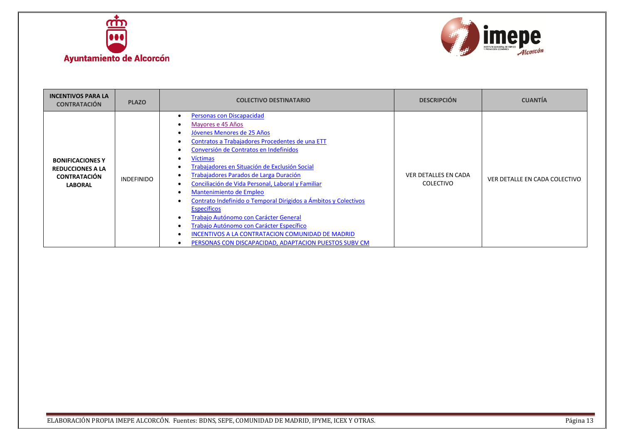



<span id="page-12-1"></span><span id="page-12-0"></span>

| <b>INCENTIVOS PARA LA</b><br><b>CONTRATACIÓN</b>                                            | <b>PLAZO</b>      | <b>COLECTIVO DESTINATARIO</b>                                                                                                                                                                                                                                                                                                                                                                                                                                                                                                                                                                                                                                      | <b>DESCRIPCIÓN</b>                              | <b>CUANTÍA</b>                |
|---------------------------------------------------------------------------------------------|-------------------|--------------------------------------------------------------------------------------------------------------------------------------------------------------------------------------------------------------------------------------------------------------------------------------------------------------------------------------------------------------------------------------------------------------------------------------------------------------------------------------------------------------------------------------------------------------------------------------------------------------------------------------------------------------------|-------------------------------------------------|-------------------------------|
| <b>BONIFICACIONES Y</b><br><b>REDUCCIONES A LA</b><br><b>CONTRATACIÓN</b><br><b>LABORAL</b> | <b>INDEFINIDO</b> | Personas con Discapacidad<br>Mayores e 45 Años<br>Jóvenes Menores de 25 Años<br>Contratos a Trabajadores Procedentes de una ETT<br>Conversión de Contratos en Indefinidos<br>Víctimas<br>Frabajadores en Situación de Exclusión Social<br>Frabajadores Parados de Larga Duración<br>Conciliación de Vida Personal, Laboral y Familiar<br>Mantenimiento de Empleo<br>Contrato Indefinido o Temporal Dirigidos a Ámbitos y Colectivos<br><b>Específicos</b><br>Trabajo Autónomo con Carácter General<br>Trabajo Autónomo con Carácter Específico<br><b>INCENTIVOS A LA CONTRATACION COMUNIDAD DE MADRID</b><br>PERSONAS CON DISCAPACIDAD, ADAPTACION PUESTOS SUBV CM | <b>VER DETALLES EN CADA</b><br><b>COLECTIVO</b> | VER DETALLE EN CADA COLECTIVO |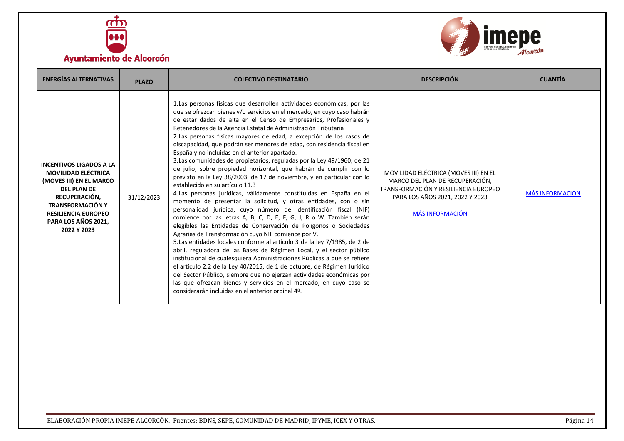



<span id="page-13-1"></span><span id="page-13-0"></span>

| <b>ENERGÍAS ALTERNATIVAS</b>                                                                                                                                                                                                  | <b>PLAZO</b> | <b>COLECTIVO DESTINATARIO</b>                                                                                                                                                                                                                                                                                                                                                                                                                                                                                                                                                                                                                                                                                                                                                                                                                                                                                                                                                                                                                                                                                                                                                                                                                                                                                                                                                                                                                                                                                                                                                                                                                                                               | <b>DESCRIPCIÓN</b>                                                                                                                                                            | <b>CUANTÍA</b>         |
|-------------------------------------------------------------------------------------------------------------------------------------------------------------------------------------------------------------------------------|--------------|---------------------------------------------------------------------------------------------------------------------------------------------------------------------------------------------------------------------------------------------------------------------------------------------------------------------------------------------------------------------------------------------------------------------------------------------------------------------------------------------------------------------------------------------------------------------------------------------------------------------------------------------------------------------------------------------------------------------------------------------------------------------------------------------------------------------------------------------------------------------------------------------------------------------------------------------------------------------------------------------------------------------------------------------------------------------------------------------------------------------------------------------------------------------------------------------------------------------------------------------------------------------------------------------------------------------------------------------------------------------------------------------------------------------------------------------------------------------------------------------------------------------------------------------------------------------------------------------------------------------------------------------------------------------------------------------|-------------------------------------------------------------------------------------------------------------------------------------------------------------------------------|------------------------|
| <b>INCENTIVOS LIGADOS A LA</b><br><b>MOVILIDAD ELÉCTRICA</b><br>(MOVES III) EN EL MARCO<br><b>DEL PLAN DE</b><br>RECUPERACIÓN,<br><b>TRANSFORMACIÓN Y</b><br><b>RESILIENCIA EUROPEO</b><br>PARA LOS AÑOS 2021,<br>2022 Y 2023 | 31/12/2023   | 1. Las personas físicas que desarrollen actividades económicas, por las<br>que se ofrezcan bienes y/o servicios en el mercado, en cuyo caso habrán<br>de estar dados de alta en el Censo de Empresarios, Profesionales y<br>Retenedores de la Agencia Estatal de Administración Tributaria<br>2.Las personas físicas mayores de edad, a excepción de los casos de<br>discapacidad, que podrán ser menores de edad, con residencia fiscal en<br>España y no incluidas en el anterior apartado.<br>3.Las comunidades de propietarios, reguladas por la Ley 49/1960, de 21<br>de julio, sobre propiedad horizontal, que habrán de cumplir con lo<br>previsto en la Ley 38/2003, de 17 de noviembre, y en particular con lo<br>establecido en su artículo 11.3<br>4.Las personas jurídicas, válidamente constituidas en España en el<br>momento de presentar la solicitud, y otras entidades, con o sin<br>personalidad jurídica, cuyo número de identificación fiscal (NIF)<br>comience por las letras A, B, C, D, E, F, G, J, R o W. También serán<br>elegibles las Entidades de Conservación de Polígonos o Sociedades<br>Agrarias de Transformación cuyo NIF comience por V.<br>5.Las entidades locales conforme al artículo 3 de la ley 7/1985, de 2 de<br>abril, reguladora de las Bases de Régimen Local, y el sector público<br>institucional de cualesquiera Administraciones Públicas a que se refiere<br>el artículo 2.2 de la Ley 40/2015, de 1 de octubre, de Régimen Jurídico<br>del Sector Público, siempre que no ejerzan actividades económicas por<br>las que ofrezcan bienes y servicios en el mercado, en cuyo caso se<br>considerarán incluidas en el anterior ordinal 4º. | MOVILIDAD ELÉCTRICA (MOVES III) EN EL<br>MARCO DEL PLAN DE RECUPERACIÓN,<br>TRANSFORMACIÓN Y RESILIENCIA EUROPEO<br>PARA LOS AÑOS 2021, 2022 Y 2023<br><b>MÁS INFORMACIÓN</b> | <b>MÁS INFORMACIÓN</b> |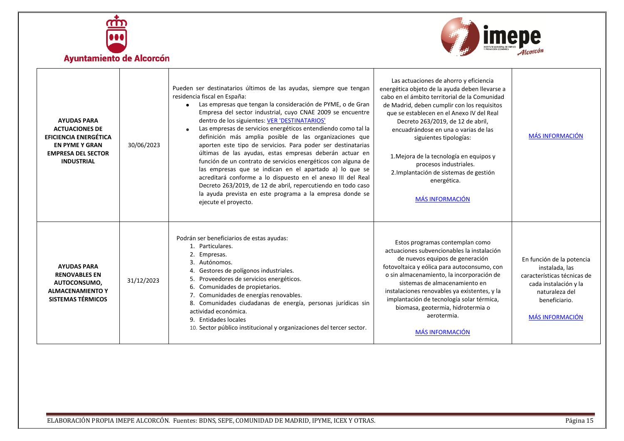



<span id="page-14-1"></span><span id="page-14-0"></span>

| <b>AYUDAS PARA</b><br><b>ACTUACIONES DE</b><br><b>EFICIENCIA ENERGÉTICA</b><br><b>EN PYME Y GRAN</b><br><b>EMPRESA DEL SECTOR</b><br><b>INDUSTRIAL</b> | 30/06/2023 | Pueden ser destinatarios últimos de las ayudas, siempre que tengan<br>residencia fiscal en España:<br>Las empresas que tengan la consideración de PYME, o de Gran<br>Empresa del sector industrial, cuyo CNAE 2009 se encuentre<br>dentro de los siguientes: VER 'DESTINATARIOS'<br>Las empresas de servicios energéticos entendiendo como tal la<br>definición más amplia posible de las organizaciones que<br>aporten este tipo de servicios. Para poder ser destinatarias<br>últimas de las ayudas, estas empresas deberán actuar en<br>función de un contrato de servicios energéticos con alguna de<br>las empresas que se indican en el apartado a) lo que se<br>acreditará conforme a lo dispuesto en el anexo III del Real<br>Decreto 263/2019, de 12 de abril, repercutiendo en todo caso<br>la ayuda prevista en este programa a la empresa donde se<br>ejecute el proyecto. | Las actuaciones de ahorro y eficiencia<br>energética objeto de la ayuda deben llevarse a<br>cabo en el ámbito territorial de la Comunidad<br>de Madrid, deben cumplir con los requisitos<br>que se establecen en el Anexo IV del Real<br>Decreto 263/2019, de 12 de abril,<br>encuadrándose en una o varias de las<br>siguientes tipologías:<br>1. Mejora de la tecnología en equipos y<br>procesos industriales.<br>2. Implantación de sistemas de gestión<br>energética.<br><b>MÁS INFORMACIÓN</b> | <b>MÁS INFORMACIÓN</b>                                                                                                                                           |
|--------------------------------------------------------------------------------------------------------------------------------------------------------|------------|----------------------------------------------------------------------------------------------------------------------------------------------------------------------------------------------------------------------------------------------------------------------------------------------------------------------------------------------------------------------------------------------------------------------------------------------------------------------------------------------------------------------------------------------------------------------------------------------------------------------------------------------------------------------------------------------------------------------------------------------------------------------------------------------------------------------------------------------------------------------------------------|------------------------------------------------------------------------------------------------------------------------------------------------------------------------------------------------------------------------------------------------------------------------------------------------------------------------------------------------------------------------------------------------------------------------------------------------------------------------------------------------------|------------------------------------------------------------------------------------------------------------------------------------------------------------------|
| <b>AYUDAS PARA</b><br><b>RENOVABLES EN</b><br>AUTOCONSUMO,<br><b>ALMACENAMIENTO Y</b><br><b>SISTEMAS TÉRMICOS</b>                                      | 31/12/2023 | Podrán ser beneficiarios de estas ayudas:<br>1. Particulares.<br>2. Empresas.<br>Autónomos.<br>Gestores de polígonos industriales.<br>Proveedores de servicios energéticos.<br>5.<br>Comunidades de propietarios.<br>6.<br>Comunidades de energías renovables.<br>8. Comunidades ciudadanas de energía, personas jurídicas sin<br>actividad económica.<br>9. Entidades locales<br>10. Sector público institucional y organizaciones del tercer sector.                                                                                                                                                                                                                                                                                                                                                                                                                                 | Estos programas contemplan como<br>actuaciones subvencionables la instalación<br>de nuevos equipos de generación<br>fotovoltaica y eólica para autoconsumo, con<br>o sin almacenamiento, la incorporación de<br>sistemas de almacenamiento en<br>instalaciones renovables ya existentes, y la<br>implantación de tecnología solar térmica,<br>biomasa, geotermia, hidrotermia o<br>aerotermia.<br><b>MÁS INFORMACIÓN</b>                                                                             | En función de la potencia<br>instalada, las<br>características técnicas de<br>cada instalación y la<br>naturaleza del<br>beneficiario.<br><b>MÁS INFORMACIÓN</b> |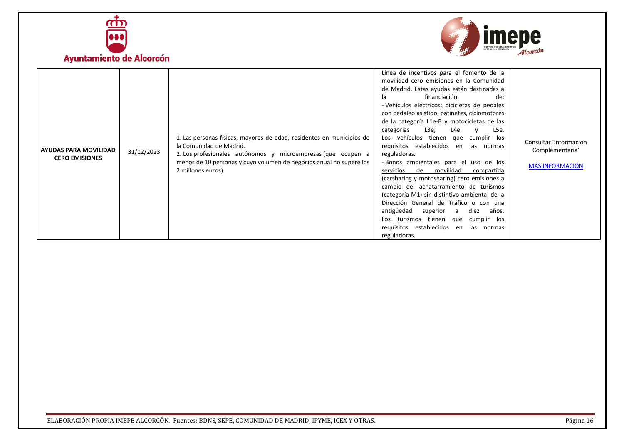



<span id="page-15-0"></span>

| <b>AYUDAS PARA MOVILIDAD</b><br><b>CERO EMISIONES</b> | 31/12/2023 | 1. Las personas físicas, mayores de edad, residentes en municipios de<br>la Comunidad de Madrid.<br>2. Los profesionales autónomos y microempresas (que ocupen a<br>menos de 10 personas y cuyo volumen de negocios anual no supere los<br>2 millones euros). | Línea de incentivos para el fomento de la<br>movilidad cero emisiones en la Comunidad<br>de Madrid. Estas ayudas están destinadas a<br>financiación<br>la<br>de:<br>- Vehículos eléctricos: bicicletas de pedales<br>con pedaleo asistido, patinetes, ciclomotores<br>de la categoría L1e-B y motocicletas de las<br>L3e,<br>L4e<br>categorias<br>L5e.<br>$\mathsf{v}$<br>Los vehículos tienen que cumplir los<br>requisitos establecidos en las normas<br>reguladoras.<br>- Bonos ambientales para el uso de los<br>movilidad<br>servicios<br>de<br>compartida<br>(carsharing y motosharing) cero emisiones a<br>cambio del achatarramiento de turismos<br>(categoría M1) sin distintivo ambiental de la<br>Dirección General de Tráfico o con una<br>diez<br>antigüedad superior<br>años.<br>a<br>turismos tienen que<br>cumplir los<br>Los<br>requisitos establecidos en<br>las normas<br>reguladoras. | Consultar 'Información<br>Complementaria'<br><b>MÁS INFORMACIÓN</b> |
|-------------------------------------------------------|------------|---------------------------------------------------------------------------------------------------------------------------------------------------------------------------------------------------------------------------------------------------------------|-----------------------------------------------------------------------------------------------------------------------------------------------------------------------------------------------------------------------------------------------------------------------------------------------------------------------------------------------------------------------------------------------------------------------------------------------------------------------------------------------------------------------------------------------------------------------------------------------------------------------------------------------------------------------------------------------------------------------------------------------------------------------------------------------------------------------------------------------------------------------------------------------------------|---------------------------------------------------------------------|
|-------------------------------------------------------|------------|---------------------------------------------------------------------------------------------------------------------------------------------------------------------------------------------------------------------------------------------------------------|-----------------------------------------------------------------------------------------------------------------------------------------------------------------------------------------------------------------------------------------------------------------------------------------------------------------------------------------------------------------------------------------------------------------------------------------------------------------------------------------------------------------------------------------------------------------------------------------------------------------------------------------------------------------------------------------------------------------------------------------------------------------------------------------------------------------------------------------------------------------------------------------------------------|---------------------------------------------------------------------|